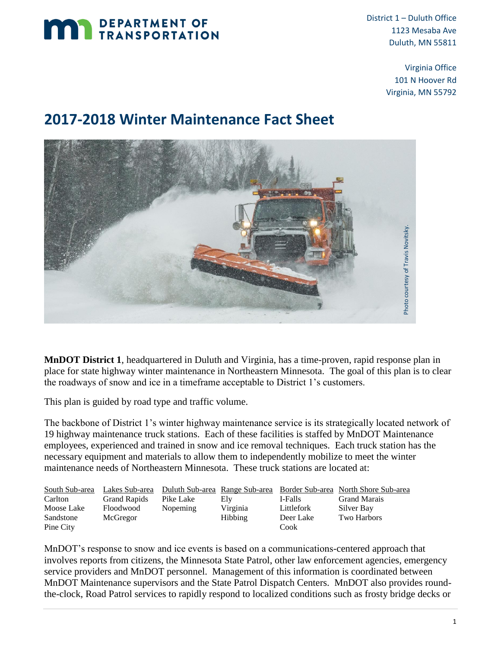

District 1 – Duluth Office 1123 Mesaba Ave Duluth, MN 55811

> Virginia Office 101 N Hoover Rd Virginia, MN 55792

## **2017-2018 Winter Maintenance Fact Sheet**



**MnDOT District 1**, headquartered in Duluth and Virginia, has a time-proven, rapid response plan in place for state highway winter maintenance in Northeastern Minnesota. The goal of this plan is to clear the roadways of snow and ice in a timeframe acceptable to District 1's customers.

This plan is guided by road type and traffic volume.

The backbone of District 1's winter highway maintenance service is its strategically located network of 19 highway maintenance truck stations. Each of these facilities is staffed by MnDOT Maintenance employees, experienced and trained in snow and ice removal techniques. Each truck station has the necessary equipment and materials to allow them to independently mobilize to meet the winter maintenance needs of Northeastern Minnesota. These truck stations are located at:

| South Sub-area | Lakes Sub-area      |           |                |            | Duluth Sub-area Range Sub-area Border Sub-area North Shore Sub-area |
|----------------|---------------------|-----------|----------------|------------|---------------------------------------------------------------------|
| Carlton        | <b>Grand Rapids</b> | Pike Lake | Elv            | I-Falls    | <b>Grand Marais</b>                                                 |
| Moose Lake     | Floodwood           | Nopeming  | Virginia       | Littlefork | Silver Bay                                                          |
| Sandstone      | McGregor            |           | <b>Hibbing</b> | Deer Lake  | Two Harbors                                                         |
| Pine City      |                     |           |                | Cook       |                                                                     |

MnDOT's response to snow and ice events is based on a communications-centered approach that involves reports from citizens, the Minnesota State Patrol, other law enforcement agencies, emergency service providers and MnDOT personnel. Management of this information is coordinated between MnDOT Maintenance supervisors and the State Patrol Dispatch Centers. MnDOT also provides round-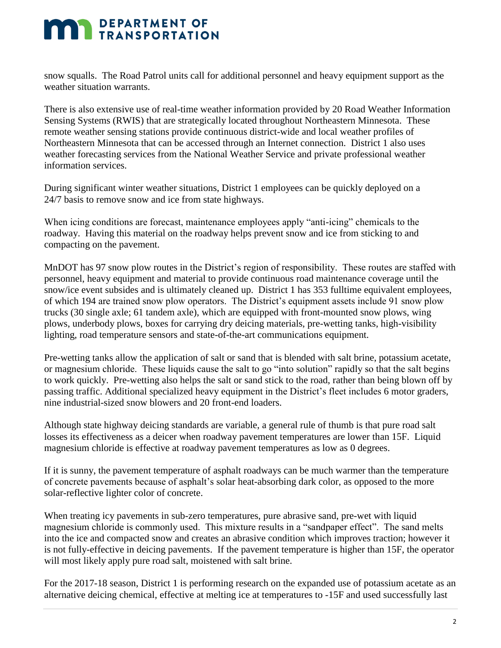## **MAN DEPARTMENT OF TRANSPORTATION**

snow squalls. The Road Patrol units call for additional personnel and heavy equipment support as the weather situation warrants.

There is also extensive use of real-time weather information provided by 20 Road Weather Information Sensing Systems (RWIS) that are strategically located throughout Northeastern Minnesota. These remote weather sensing stations provide continuous district-wide and local weather profiles of Northeastern Minnesota that can be accessed through an Internet connection. District 1 also uses weather forecasting services from the National Weather Service and private professional weather information services.

During significant winter weather situations, District 1 employees can be quickly deployed on a 24/7 basis to remove snow and ice from state highways.

When icing conditions are forecast, maintenance employees apply "anti-icing" chemicals to the roadway. Having this material on the roadway helps prevent snow and ice from sticking to and compacting on the pavement.

MnDOT has 97 snow plow routes in the District's region of responsibility. These routes are staffed with personnel, heavy equipment and material to provide continuous road maintenance coverage until the snow/ice event subsides and is ultimately cleaned up. District 1 has 353 fulltime equivalent employees, of which 194 are trained snow plow operators. The District's equipment assets include 91 snow plow trucks (30 single axle; 61 tandem axle), which are equipped with front-mounted snow plows, wing plows, underbody plows, boxes for carrying dry deicing materials, pre-wetting tanks, high-visibility lighting, road temperature sensors and state-of-the-art communications equipment.

Pre-wetting tanks allow the application of salt or sand that is blended with salt brine, potassium acetate, or magnesium chloride. These liquids cause the salt to go "into solution" rapidly so that the salt begins to work quickly. Pre-wetting also helps the salt or sand stick to the road, rather than being blown off by passing traffic. Additional specialized heavy equipment in the District's fleet includes 6 motor graders, nine industrial-sized snow blowers and 20 front-end loaders.

Although state highway deicing standards are variable, a general rule of thumb is that pure road salt losses its effectiveness as a deicer when roadway pavement temperatures are lower than 15F. Liquid magnesium chloride is effective at roadway pavement temperatures as low as 0 degrees.

If it is sunny, the pavement temperature of asphalt roadways can be much warmer than the temperature of concrete pavements because of asphalt's solar heat-absorbing dark color, as opposed to the more solar-reflective lighter color of concrete.

When treating icy pavements in sub-zero temperatures, pure abrasive sand, pre-wet with liquid magnesium chloride is commonly used. This mixture results in a "sandpaper effect". The sand melts into the ice and compacted snow and creates an abrasive condition which improves traction; however it is not fully-effective in deicing pavements. If the pavement temperature is higher than 15F, the operator will most likely apply pure road salt, moistened with salt brine.

For the 2017-18 season, District 1 is performing research on the expanded use of potassium acetate as an alternative deicing chemical, effective at melting ice at temperatures to -15F and used successfully last